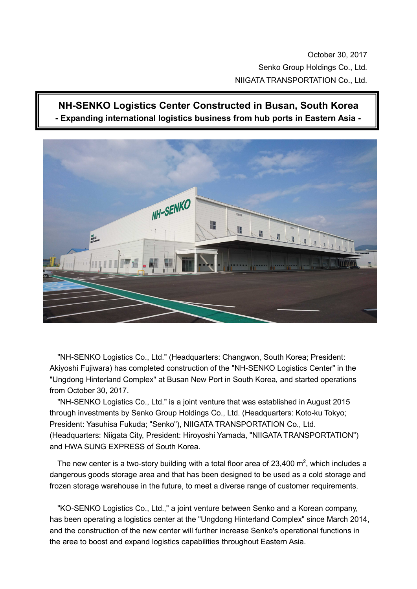October 30, 2017 Senko Group Holdings Co., Ltd. NIIGATA TRANSPORTATION Co., Ltd.

## **NH-SENKO Logistics Center Constructed in Busan, South Korea**





"NH-SENKO Logistics Co., Ltd." (Headquarters: Changwon, South Korea; President: Akiyoshi Fujiwara) has completed construction of the "NH-SENKO Logistics Center" in the "Ungdong Hinterland Complex" at Busan New Port in South Korea, and started operations from October 30, 2017.

"NH-SENKO Logistics Co., Ltd." is a joint venture that was established in August 2015 through investments by Senko Group Holdings Co., Ltd. (Headquarters: Koto-ku Tokyo; President: Yasuhisa Fukuda; "Senko"), NIIGATA TRANSPORTATION Co., Ltd. (Headquarters: Niigata City, President: Hiroyoshi Yamada, "NIIGATA TRANSPORTATION") and HWA SUNG EXPRESS of South Korea.

The new center is a two-story building with a total floor area of 23,400  $m^2$ , which includes a dangerous goods storage area and that has been designed to be used as a cold storage and frozen storage warehouse in the future, to meet a diverse range of customer requirements.

"KO-SENKO Logistics Co., Ltd.," a joint venture between Senko and a Korean company, has been operating a logistics center at the "Ungdong Hinterland Complex" since March 2014, and the construction of the new center will further increase Senko's operational functions in the area to boost and expand logistics capabilities throughout Eastern Asia.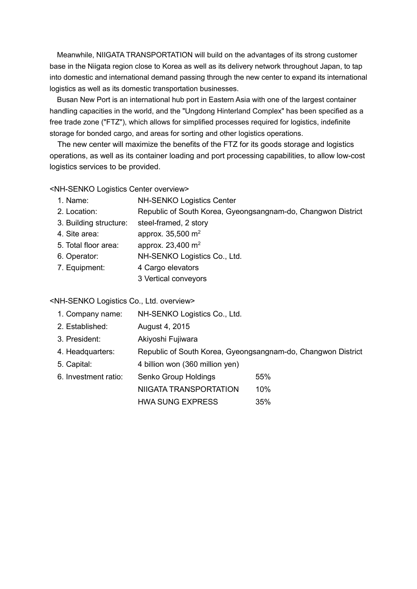Meanwhile, NIIGATA TRANSPORTATION will build on the advantages of its strong customer base in the Niigata region close to Korea as well as its delivery network throughout Japan, to tap into domestic and international demand passing through the new center to expand its international logistics as well as its domestic transportation businesses.

Busan New Port is an international hub port in Eastern Asia with one of the largest container handling capacities in the world, and the "Ungdong Hinterland Complex" has been specified as a free trade zone ("FTZ"), which allows for simplified processes required for logistics, indefinite storage for bonded cargo, and areas for sorting and other logistics operations.

The new center will maximize the benefits of the FTZ for its goods storage and logistics operations, as well as its container loading and port processing capabilities, to allow low-cost logistics services to be provided.

<NH-SENKO Logistics Center overview>

| 1. Name:               | <b>NH-SENKO Logistics Center</b>                             |  |  |
|------------------------|--------------------------------------------------------------|--|--|
| 2. Location:           | Republic of South Korea, Gyeongsangnam-do, Changwon District |  |  |
| 3. Building structure: | steel-framed, 2 story                                        |  |  |
| 4. Site area:          | approx. 35,500 m <sup>2</sup>                                |  |  |
| 5. Total floor area:   | approx. 23,400 m <sup>2</sup>                                |  |  |
| 6. Operator:           | NH-SENKO Logistics Co., Ltd.                                 |  |  |
| 7. Equipment:          | 4 Cargo elevators                                            |  |  |
|                        | 3 Vertical conveyors                                         |  |  |
|                        |                                                              |  |  |

<NH-SENKO Logistics Co., Ltd. overview>

| 1. Company name: | NH-SENKO Logistics Co., Ltd. |
|------------------|------------------------------|
|------------------|------------------------------|

- 2. Established: August 4, 2015
- 3. President: Akiyoshi Fujiwara
- 4. Headquarters: Republic of South Korea, Gyeongsangnam-do, Changwon District
- 5. Capital: 4 billion won (360 million yen)
- 6. Investment ratio: Senko Group Holdings 55%
	- NIIGATA TRANSPORTATION 10%

HWA SUNG EXPRESS 35%